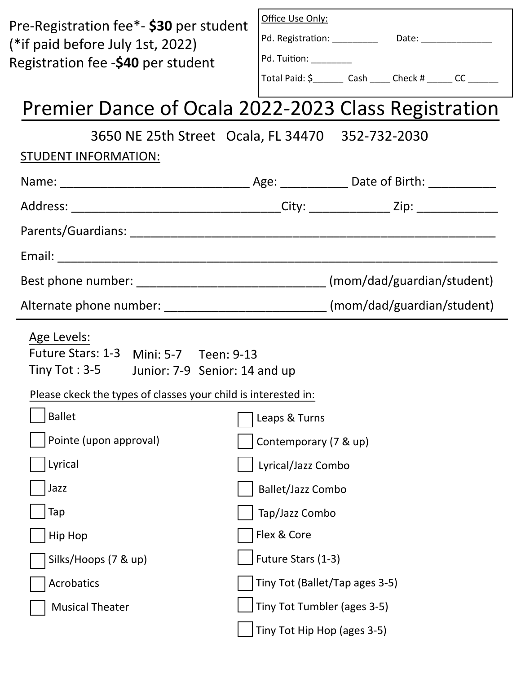| Pre-Registration fee*- \$30 per student<br>(*if paid before July 1st, 2022)<br>Registration fee -\$40 per student                                                      | Office Use Only:<br>Pd. Registration: _____________  Date: __________________<br>Pd. Tuition: _________<br>Total Paid: \$_________ Cash ______ Check # ______ CC _______ |  |  |  |  |  |
|------------------------------------------------------------------------------------------------------------------------------------------------------------------------|--------------------------------------------------------------------------------------------------------------------------------------------------------------------------|--|--|--|--|--|
| Premier Dance of Ocala 2022-2023 Class Registration                                                                                                                    |                                                                                                                                                                          |  |  |  |  |  |
| 3650 NE 25th Street Ocala, FL 34470 352-732-2030<br>STUDENT INFORMATION:                                                                                               |                                                                                                                                                                          |  |  |  |  |  |
|                                                                                                                                                                        |                                                                                                                                                                          |  |  |  |  |  |
|                                                                                                                                                                        |                                                                                                                                                                          |  |  |  |  |  |
|                                                                                                                                                                        |                                                                                                                                                                          |  |  |  |  |  |
|                                                                                                                                                                        |                                                                                                                                                                          |  |  |  |  |  |
|                                                                                                                                                                        |                                                                                                                                                                          |  |  |  |  |  |
|                                                                                                                                                                        | Alternate phone number: ______________________________ (mom/dad/guardian/student)                                                                                        |  |  |  |  |  |
| Age Levels:<br>Future Stars: 1-3 Mini: 5-7 Teen: 9-13<br>Tiny Tot: 3-5 Junior: 7-9 Senior: 14 and up<br>Please ckeck the types of classes your child is interested in: |                                                                                                                                                                          |  |  |  |  |  |
| <b>Ballet</b>                                                                                                                                                          | Leaps & Turns                                                                                                                                                            |  |  |  |  |  |
| Pointe (upon approval)                                                                                                                                                 | Contemporary (7 & up)                                                                                                                                                    |  |  |  |  |  |
| Lyrical                                                                                                                                                                | Lyrical/Jazz Combo                                                                                                                                                       |  |  |  |  |  |
| Jazz                                                                                                                                                                   | <b>Ballet/Jazz Combo</b>                                                                                                                                                 |  |  |  |  |  |
| Tap                                                                                                                                                                    | Tap/Jazz Combo                                                                                                                                                           |  |  |  |  |  |
| <b>Hip Hop</b>                                                                                                                                                         | Flex & Core                                                                                                                                                              |  |  |  |  |  |
| Silks/Hoops (7 & up)                                                                                                                                                   | Future Stars (1-3)                                                                                                                                                       |  |  |  |  |  |
| Acrobatics                                                                                                                                                             | Tiny Tot (Ballet/Tap ages 3-5)                                                                                                                                           |  |  |  |  |  |
| <b>Musical Theater</b>                                                                                                                                                 | Tiny Tot Tumbler (ages 3-5)                                                                                                                                              |  |  |  |  |  |
|                                                                                                                                                                        | Tiny Tot Hip Hop (ages 3-5)                                                                                                                                              |  |  |  |  |  |